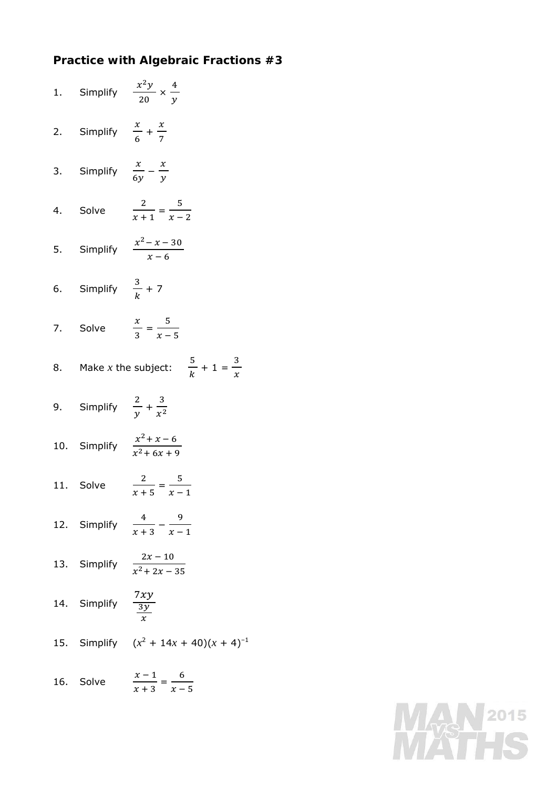## **Practice with Algebraic Fractions #3**

|                                           | 1. Simplify $\frac{x^2y}{20} \times \frac{4}{y}$              |
|-------------------------------------------|---------------------------------------------------------------|
| 2. Simplify $\frac{x}{6} + \frac{x}{7}$   |                                                               |
| 3. Simplify $\frac{x}{6y} - \frac{x}{y}$  |                                                               |
|                                           | 4. Solve $\frac{2}{x+1} = \frac{5}{x-2}$                      |
|                                           | 5. Simplify $\frac{x^2 - x - 30}{x - 6}$                      |
| 6. Simplify $\frac{3}{k}$ + 7             |                                                               |
|                                           | 7. Solve $\frac{x}{3} = \frac{5}{x-5}$                        |
|                                           | 8. Make <i>x</i> the subject: $\frac{5}{k} + 1 = \frac{3}{x}$ |
| 9. Simplify $\frac{2}{v} + \frac{3}{v^2}$ |                                                               |
|                                           | 10. Simplify $\frac{x^2 + x - 6}{x^2 + 6x + 9}$               |
|                                           | 11. Solve $\frac{2}{x+5} = \frac{5}{x-1}$                     |
|                                           | 12. Simplify $\frac{4}{x+3} - \frac{9}{x-1}$                  |
|                                           | 13. Simplify $\frac{2x-10}{x^2+2x-35}$                        |
| 14. Simplify $\frac{7xy}{3y}$             |                                                               |
|                                           | 15. Simplify $(x^2 + 14x + 40)(x + 4)^{-1}$                   |
| 16. Solve                                 | $\frac{x-1}{x+3} = \frac{6}{x-5}$                             |